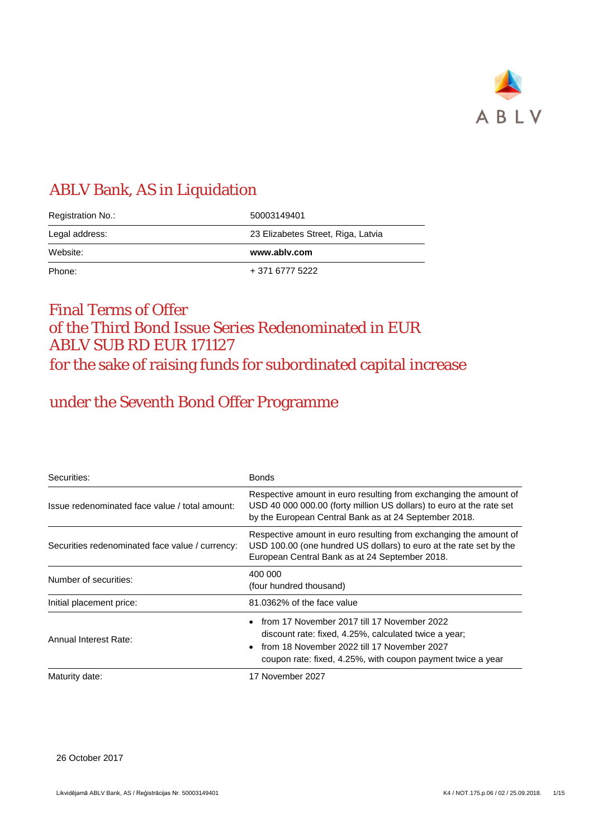

# ABLV Bank, AS in Liquidation

| Registration No.: | 50003149401                        |
|-------------------|------------------------------------|
| Legal address:    | 23 Elizabetes Street, Riga, Latvia |
|                   |                                    |
| Website:          | www.ablv.com                       |

# Final Terms of Offer of the Third Bond Issue Series Redenominated in EUR ABLV SUB RD EUR 171127 for the sake of raising funds for subordinated capital increase

# under the Seventh Bond Offer Programme

| Securities:                                     | <b>Bonds</b>                                                                                                                                                                                                                                 |
|-------------------------------------------------|----------------------------------------------------------------------------------------------------------------------------------------------------------------------------------------------------------------------------------------------|
| Issue redenominated face value / total amount:  | Respective amount in euro resulting from exchanging the amount of<br>USD 40 000 000.00 (forty million US dollars) to euro at the rate set<br>by the European Central Bank as at 24 September 2018.                                           |
| Securities redenominated face value / currency: | Respective amount in euro resulting from exchanging the amount of<br>USD 100.00 (one hundred US dollars) to euro at the rate set by the<br>European Central Bank as at 24 September 2018.                                                    |
| Number of securities:                           | 400 000<br>(four hundred thousand)                                                                                                                                                                                                           |
| Initial placement price:                        | 81.0362% of the face value                                                                                                                                                                                                                   |
| Annual Interest Rate:                           | from 17 November 2017 till 17 November 2022<br>$\bullet$<br>discount rate: fixed, 4.25%, calculated twice a year;<br>from 18 November 2022 till 17 November 2027<br>$\bullet$<br>coupon rate: fixed, 4.25%, with coupon payment twice a year |
| Maturity date:                                  | 17 November 2027                                                                                                                                                                                                                             |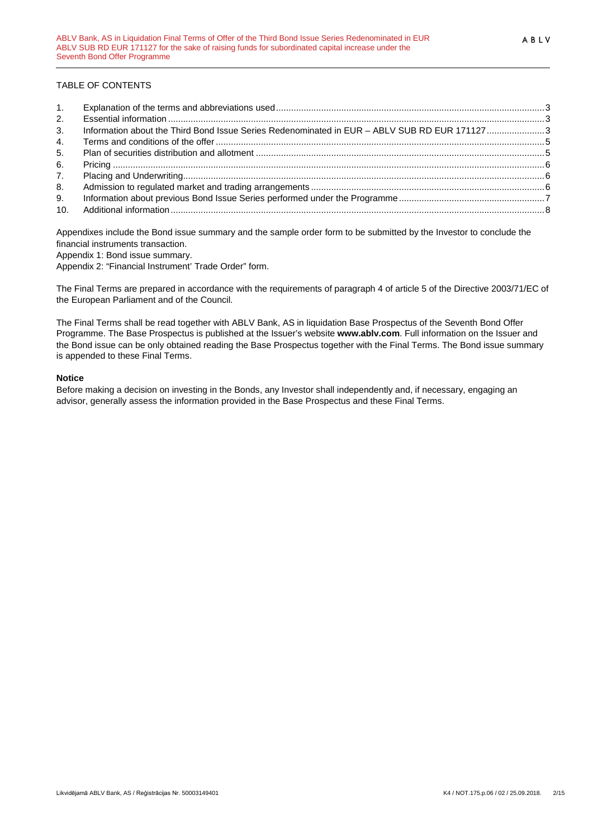### TABLE OF CONTENTS

| 1. |                                                                                              |  |
|----|----------------------------------------------------------------------------------------------|--|
| 2. |                                                                                              |  |
| 3. | Information about the Third Bond Issue Series Redenominated in EUR - ABLV SUB RD EUR 1711273 |  |
| 4. |                                                                                              |  |
| 5. |                                                                                              |  |
| 6. |                                                                                              |  |
| 7. |                                                                                              |  |
| 8. |                                                                                              |  |
| 9. |                                                                                              |  |
|    |                                                                                              |  |

Appendixes include the Bond issue summary and the sample order form to be submitted by the Investor to conclude the financial instruments transaction.

Appendix 1: Bond issue summary.

Appendix 2: "Financial Instrument' Trade Order" form.

The Final Terms are prepared in accordance with the requirements of paragraph 4 of article 5 of the Directive 2003/71/EC of the European Parliament and of the Council.

The Final Terms shall be read together with ABLV Bank, AS in liquidation Base Prospectus of the Seventh Bond Offer Programme. The Base Prospectus is published at the Issuer's website **www.ablv.com**. Full information on the Issuer and the Bond issue can be only obtained reading the Base Prospectus together with the Final Terms. The Bond issue summary is appended to these Final Terms.

#### **Notice**

Before making a decision on investing in the Bonds, any Investor shall independently and, if necessary, engaging an advisor, generally assess the information provided in the Base Prospectus and these Final Terms.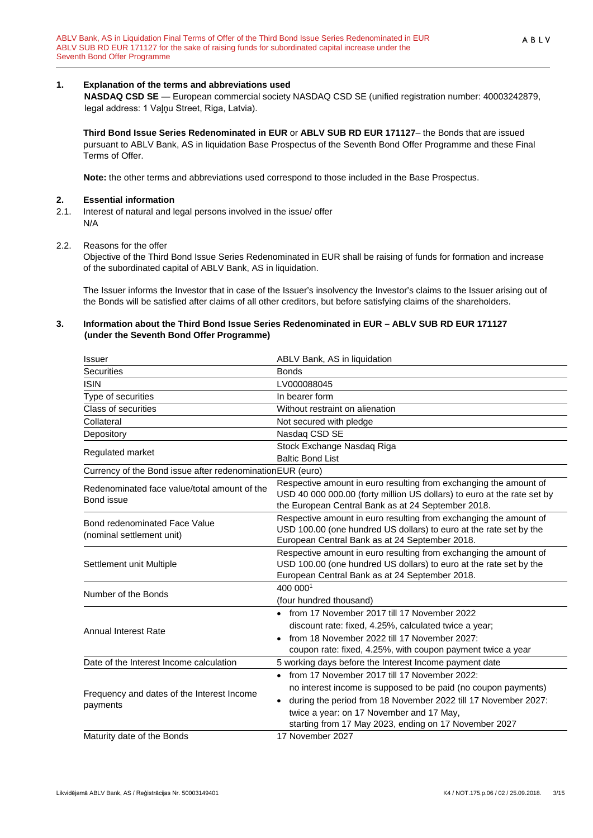### <span id="page-2-0"></span>**1. Explanation of the terms and abbreviations used**

**NASDAQ CSD SE** — European commercial society NASDAQ CSD SE (unified registration number: 40003242879, legal address: 1 Vaļņu Street, Riga, Latvia).

**Third Bond Issue Series Redenominated in EUR** or **ABLV SUB RD EUR 171127**– the Bonds that are issued pursuant to ABLV Bank, AS in liquidation Base Prospectus of the Seventh Bond Offer Programme and these Final Terms of Offer.

**Note:** the other terms and abbreviations used correspond to those included in the Base Prospectus.

- <span id="page-2-1"></span>**2. Essential information**<br>**2.1.** Interest of natural and k Interest of natural and legal persons involved in the issue/ offer N/A
- 2.2. Reasons for the offer

Objective of the Third Bond Issue Series Redenominated in EUR shall be raising of funds for formation and increase of the subordinated capital of ABLV Bank, AS in liquidation.

The Issuer informs the Investor that in case of the Issuer's insolvency the Investor's claims to the Issuer arising out of the Bonds will be satisfied after claims of all other creditors, but before satisfying claims of the shareholders.

#### <span id="page-2-2"></span>**3. Information about the Third Bond Issue Series Redenominated in EUR – ABLV SUB RD EUR 171127 (under the Seventh Bond Offer Programme)**

| <b>Issuer</b>                                              | ABLV Bank, AS in liquidation                                                                                         |
|------------------------------------------------------------|----------------------------------------------------------------------------------------------------------------------|
| <b>Securities</b>                                          | <b>Bonds</b>                                                                                                         |
| <b>ISIN</b>                                                | LV000088045                                                                                                          |
| Type of securities                                         | In bearer form                                                                                                       |
| Class of securities                                        | Without restraint on alienation                                                                                      |
| Collateral                                                 | Not secured with pledge                                                                                              |
| Depository                                                 | Nasdaq CSD SE                                                                                                        |
| Regulated market                                           | Stock Exchange Nasdaq Riga                                                                                           |
|                                                            | <b>Baltic Bond List</b>                                                                                              |
| Currency of the Bond issue after redenomination EUR (euro) |                                                                                                                      |
| Redenominated face value/total amount of the               | Respective amount in euro resulting from exchanging the amount of                                                    |
| Bond issue                                                 | USD 40 000 000.00 (forty million US dollars) to euro at the rate set by                                              |
|                                                            | the European Central Bank as at 24 September 2018.                                                                   |
| Bond redenominated Face Value                              | Respective amount in euro resulting from exchanging the amount of                                                    |
| (nominal settlement unit)                                  | USD 100.00 (one hundred US dollars) to euro at the rate set by the<br>European Central Bank as at 24 September 2018. |
|                                                            | Respective amount in euro resulting from exchanging the amount of                                                    |
| Settlement unit Multiple                                   | USD 100.00 (one hundred US dollars) to euro at the rate set by the                                                   |
|                                                            | European Central Bank as at 24 September 2018.                                                                       |
|                                                            | 400 0001                                                                                                             |
| Number of the Bonds                                        | (four hundred thousand)                                                                                              |
|                                                            | • from 17 November 2017 till 17 November 2022                                                                        |
|                                                            | discount rate: fixed, 4.25%, calculated twice a year;                                                                |
| Annual Interest Rate                                       | from 18 November 2022 till 17 November 2027:                                                                         |
|                                                            | coupon rate: fixed, 4.25%, with coupon payment twice a year                                                          |
| Date of the Interest Income calculation                    | 5 working days before the Interest Income payment date                                                               |
|                                                            | • from 17 November 2017 till 17 November 2022:                                                                       |
|                                                            | no interest income is supposed to be paid (no coupon payments)                                                       |
| Frequency and dates of the Interest Income                 | • during the period from 18 November 2022 till 17 November 2027:                                                     |
| payments                                                   | twice a year: on 17 November and 17 May,                                                                             |
|                                                            | starting from 17 May 2023, ending on 17 November 2027                                                                |
| Maturity date of the Bonds                                 | 17 November 2027                                                                                                     |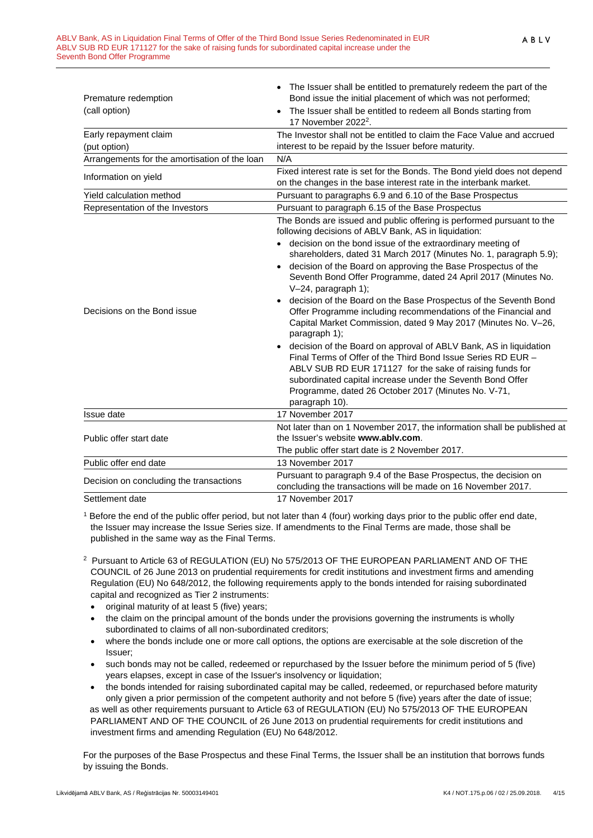| Premature redemption<br>(call option)         | The Issuer shall be entitled to prematurely redeem the part of the<br>Bond issue the initial placement of which was not performed;<br>The Issuer shall be entitled to redeem all Bonds starting from<br>17 November 2022 <sup>2</sup> .                                                                                                                                                                                                                                                                                                                                                                                                                                                                                                                                                                                                                                                                                                                                                                               |
|-----------------------------------------------|-----------------------------------------------------------------------------------------------------------------------------------------------------------------------------------------------------------------------------------------------------------------------------------------------------------------------------------------------------------------------------------------------------------------------------------------------------------------------------------------------------------------------------------------------------------------------------------------------------------------------------------------------------------------------------------------------------------------------------------------------------------------------------------------------------------------------------------------------------------------------------------------------------------------------------------------------------------------------------------------------------------------------|
| Early repayment claim<br>(put option)         | The Investor shall not be entitled to claim the Face Value and accrued<br>interest to be repaid by the Issuer before maturity.                                                                                                                                                                                                                                                                                                                                                                                                                                                                                                                                                                                                                                                                                                                                                                                                                                                                                        |
| Arrangements for the amortisation of the loan | N/A                                                                                                                                                                                                                                                                                                                                                                                                                                                                                                                                                                                                                                                                                                                                                                                                                                                                                                                                                                                                                   |
| Information on yield                          | Fixed interest rate is set for the Bonds. The Bond yield does not depend<br>on the changes in the base interest rate in the interbank market.                                                                                                                                                                                                                                                                                                                                                                                                                                                                                                                                                                                                                                                                                                                                                                                                                                                                         |
| Yield calculation method                      | Pursuant to paragraphs 6.9 and 6.10 of the Base Prospectus                                                                                                                                                                                                                                                                                                                                                                                                                                                                                                                                                                                                                                                                                                                                                                                                                                                                                                                                                            |
| Representation of the Investors               | Pursuant to paragraph 6.15 of the Base Prospectus                                                                                                                                                                                                                                                                                                                                                                                                                                                                                                                                                                                                                                                                                                                                                                                                                                                                                                                                                                     |
| Decisions on the Bond issue                   | The Bonds are issued and public offering is performed pursuant to the<br>following decisions of ABLV Bank, AS in liquidation:<br>decision on the bond issue of the extraordinary meeting of<br>shareholders, dated 31 March 2017 (Minutes No. 1, paragraph 5.9);<br>decision of the Board on approving the Base Prospectus of the<br>$\bullet$<br>Seventh Bond Offer Programme, dated 24 April 2017 (Minutes No.<br>V-24, paragraph 1);<br>decision of the Board on the Base Prospectus of the Seventh Bond<br>$\bullet$<br>Offer Programme including recommendations of the Financial and<br>Capital Market Commission, dated 9 May 2017 (Minutes No. V-26,<br>paragraph 1);<br>decision of the Board on approval of ABLV Bank, AS in liquidation<br>Final Terms of Offer of the Third Bond Issue Series RD EUR -<br>ABLV SUB RD EUR 171127 for the sake of raising funds for<br>subordinated capital increase under the Seventh Bond Offer<br>Programme, dated 26 October 2017 (Minutes No. V-71,<br>paragraph 10). |
| Issue date                                    | 17 November 2017                                                                                                                                                                                                                                                                                                                                                                                                                                                                                                                                                                                                                                                                                                                                                                                                                                                                                                                                                                                                      |
| Public offer start date                       | Not later than on 1 November 2017, the information shall be published at<br>the Issuer's website www.ably.com.<br>The public offer start date is 2 November 2017.                                                                                                                                                                                                                                                                                                                                                                                                                                                                                                                                                                                                                                                                                                                                                                                                                                                     |
| Public offer end date                         | 13 November 2017                                                                                                                                                                                                                                                                                                                                                                                                                                                                                                                                                                                                                                                                                                                                                                                                                                                                                                                                                                                                      |
| Decision on concluding the transactions       | Pursuant to paragraph 9.4 of the Base Prospectus, the decision on<br>concluding the transactions will be made on 16 November 2017.                                                                                                                                                                                                                                                                                                                                                                                                                                                                                                                                                                                                                                                                                                                                                                                                                                                                                    |

Settlement date 17 November 2017

<sup>1</sup> Before the end of the public offer period, but not later than 4 (four) working days prior to the public offer end date, the Issuer may increase the Issue Series size. If amendments to the Final Terms are made, those shall be published in the same way as the Final Terms.

- 2 Pursuant to Article 63 of REGULATION (EU) No 575/2013 OF THE EUROPEAN PARLIAMENT AND OF THE COUNCIL of 26 June 2013 on prudential requirements for credit institutions and investment firms and amending Regulation (EU) No 648/2012, the following requirements apply to the bonds intended for raising subordinated capital and recognized as Tier 2 instruments:
	- original maturity of at least 5 (five) years;
	- the claim on the principal amount of the bonds under the provisions governing the instruments is wholly subordinated to claims of all non-subordinated creditors;
	- where the bonds include one or more call options, the options are exercisable at the sole discretion of the Issuer;
	- such bonds may not be called, redeemed or repurchased by the Issuer before the minimum period of 5 (five) years elapses, except in case of the Issuer's insolvency or liquidation;
	- the bonds intended for raising subordinated capital may be called, redeemed, or repurchased before maturity only given a prior permission of the competent authority and not before 5 (five) years after the date of issue; as well as other requirements pursuant to Article 63 of REGULATION (EU) No 575/2013 OF THE EUROPEAN PARLIAMENT AND OF THE COUNCIL of 26 June 2013 on prudential requirements for credit institutions and investment firms and amending Regulation (EU) No 648/2012.

For the purposes of the Base Prospectus and these Final Terms, the Issuer shall be an institution that borrows funds by issuing the Bonds.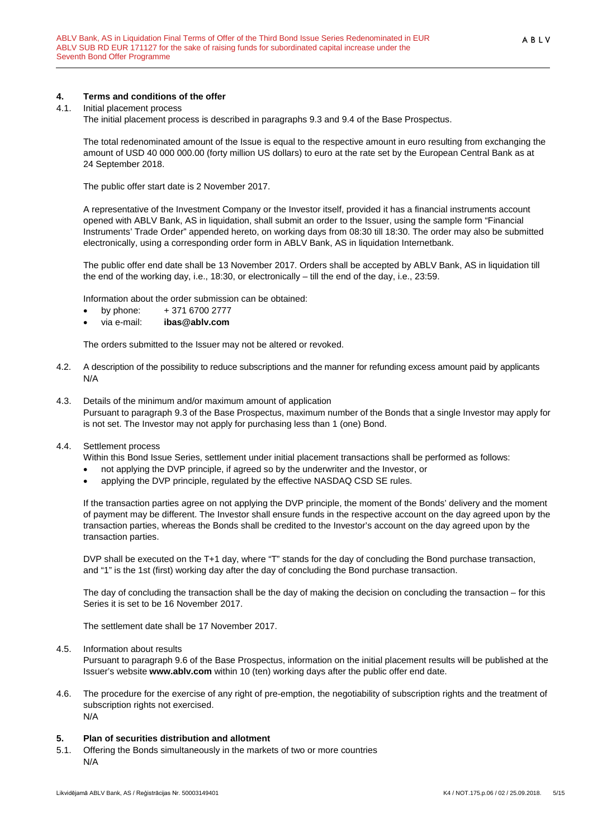#### <span id="page-4-0"></span>**4. Terms and conditions of the offer**

#### 4.1. Initial placement process

The initial placement process is described in paragraphs 9.3 and 9.4 of the Base Prospectus.

The total redenominated amount of the Issue is equal to the respective amount in euro resulting from exchanging the amount of USD 40 000 000.00 (forty million US dollars) to euro at the rate set by the European Central Bank as at 24 September 2018.

The public offer start date is 2 November 2017.

A representative of the Investment Company or the Investor itself, provided it has a financial instruments account opened with ABLV Bank, AS in liquidation, shall submit an order to the Issuer, using the sample form "Financial Instruments' Trade Order" appended hereto, on working days from 08:30 till 18:30. The order may also be submitted electronically, using a corresponding order form in ABLV Bank, AS in liquidation Internetbank.

The public offer end date shall be 13 November 2017. Orders shall be accepted by ABLV Bank, AS in liquidation till the end of the working day, i.e., 18:30, or electronically – till the end of the day, i.e., 23:59.

Information about the order submission can be obtained:

- by phone:  $+371\,6700\,2777$
- via e-mail: **ibas@ablv.com**

The orders submitted to the Issuer may not be altered or revoked.

- 4.2. A description of the possibility to reduce subscriptions and the manner for refunding excess amount paid by applicants N/A
- 4.3. Details of the minimum and/or maximum amount of application Pursuant to paragraph 9.3 of the Base Prospectus, maximum number of the Bonds that a single Investor may apply for is not set. The Investor may not apply for purchasing less than 1 (one) Bond.

#### 4.4. Settlement process

Within this Bond Issue Series, settlement under initial placement transactions shall be performed as follows:

- not applying the DVP principle, if agreed so by the underwriter and the Investor, or
- applying the DVP principle, regulated by the effective NASDAQ CSD SE rules.

If the transaction parties agree on not applying the DVP principle, the moment of the Bonds' delivery and the moment of payment may be different. The Investor shall ensure funds in the respective account on the day agreed upon by the transaction parties, whereas the Bonds shall be credited to the Investor's account on the day agreed upon by the transaction parties.

DVP shall be executed on the T+1 day, where "T" stands for the day of concluding the Bond purchase transaction, and "1" is the 1st (first) working day after the day of concluding the Bond purchase transaction.

The day of concluding the transaction shall be the day of making the decision on concluding the transaction – for this Series it is set to be 16 November 2017.

The settlement date shall be 17 November 2017.

### 4.5. Information about results

Pursuant to paragraph 9.6 of the Base Prospectus, information on the initial placement results will be published at the Issuer's website **www.ablv.com** within 10 (ten) working days after the public offer end date.

4.6. The procedure for the exercise of any right of pre-emption, the negotiability of subscription rights and the treatment of subscription rights not exercised. N/A

#### <span id="page-4-1"></span>**5. Plan of securities distribution and allotment**

5.1. Offering the Bonds simultaneously in the markets of two or more countries N/A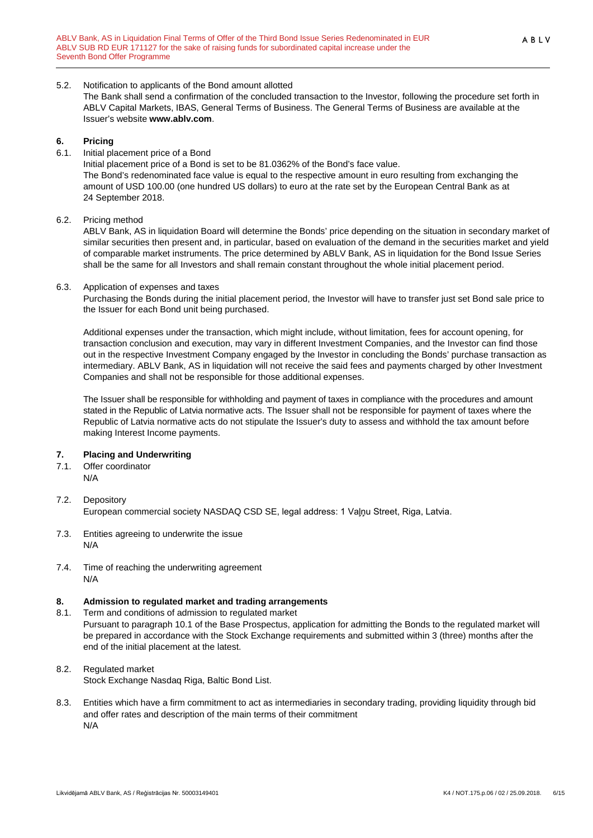#### 5.2. Notification to applicants of the Bond amount allotted

The Bank shall send a confirmation of the concluded transaction to the Investor, following the procedure set forth in ABLV Capital Markets, IBAS, General Terms of Business. The General Terms of Business are available at the Issuer's website **[www.ablv.com](http://www.ablv.com/)**.

#### <span id="page-5-0"></span>**6. Pricing**

6.1. Initial placement price of a Bond

Initial placement price of a Bond is set to be 81.0362% of the Bond's face value. The Bond's redenominated face value is equal to the respective amount in euro resulting from exchanging the amount of USD 100.00 (one hundred US dollars) to euro at the rate set by the European Central Bank as at 24 September 2018.

6.2. Pricing method

ABLV Bank, AS in liquidation Board will determine the Bonds' price depending on the situation in secondary market of similar securities then present and, in particular, based on evaluation of the demand in the securities market and yield of comparable market instruments. The price determined by ABLV Bank, AS in liquidation for the Bond Issue Series shall be the same for all Investors and shall remain constant throughout the whole initial placement period.

#### 6.3. Application of expenses and taxes

Purchasing the Bonds during the initial placement period, the Investor will have to transfer just set Bond sale price to the Issuer for each Bond unit being purchased.

Additional expenses under the transaction, which might include, without limitation, fees for account opening, for transaction conclusion and execution, may vary in different Investment Companies, and the Investor can find those out in the respective Investment Company engaged by the Investor in concluding the Bonds' purchase transaction as intermediary. ABLV Bank, AS in liquidation will not receive the said fees and payments charged by other Investment Companies and shall not be responsible for those additional expenses.

The Issuer shall be responsible for withholding and payment of taxes in compliance with the procedures and amount stated in the Republic of Latvia normative acts. The Issuer shall not be responsible for payment of taxes where the Republic of Latvia normative acts do not stipulate the Issuer's duty to assess and withhold the tax amount before making Interest Income payments.

### <span id="page-5-1"></span>**7. Placing and Underwriting**

7.1. Offer coordinator

N/A

- 7.2. Depository European commercial society NASDAQ CSD SE, legal address: 1 Vaļņu Street, Riga, Latvia.
- 7.3. Entities agreeing to underwrite the issue N/A
- 7.4. Time of reaching the underwriting agreement N/A

#### <span id="page-5-2"></span>**8. Admission to regulated market and trading arrangements**

8.1. Term and conditions of admission to regulated market Pursuant to paragraph 10.1 of the Base Prospectus, application for admitting the Bonds to the regulated market will be prepared in accordance with the Stock Exchange requirements and submitted within 3 (three) months after the end of the initial placement at the latest.

### 8.2. Regulated market

Stock Exchange Nasdaq Riga, Baltic Bond List.

8.3. Entities which have a firm commitment to act as intermediaries in secondary trading, providing liquidity through bid and offer rates and description of the main terms of their commitment N/A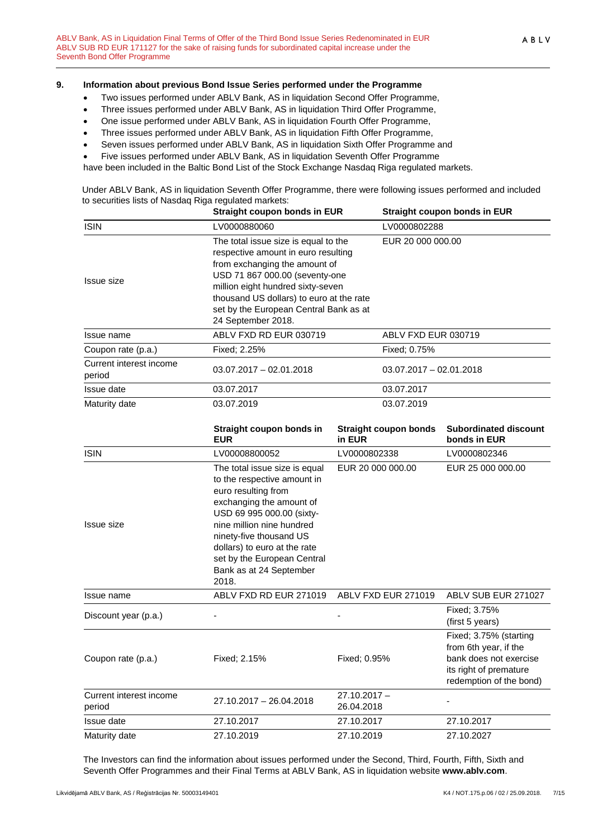#### <span id="page-6-0"></span>**9. Information about previous Bond Issue Series performed under the Programme**

- Two issues performed under ABLV Bank, AS in liquidation Second Offer Programme,
- Three issues performed under ABLV Bank, AS in liquidation Third Offer Programme,
- One issue performed under ABLV Bank, AS in liquidation Fourth Offer Programme,
- Three issues performed under ABLV Bank, AS in liquidation Fifth Offer Programme,
- Seven issues performed under ABLV Bank, AS in liquidation Sixth Offer Programme and
- Five issues performed under ABLV Bank, AS in liquidation Seventh Offer Programme
- have been included in the Baltic Bond List of the Stock Exchange Nasdaq Riga regulated markets.

Under ABLV Bank, AS in liquidation Seventh Offer Programme, there were following issues performed and included to securities lists of Nasdaq Riga regulated markets:

|                                   | Straight coupon bonds in EUR                                                                                                                                                                                                                                                                            |                                        | Straight coupon bonds in EUR                                                                                                   |  |  |
|-----------------------------------|---------------------------------------------------------------------------------------------------------------------------------------------------------------------------------------------------------------------------------------------------------------------------------------------------------|----------------------------------------|--------------------------------------------------------------------------------------------------------------------------------|--|--|
| <b>ISIN</b>                       | LV0000880060                                                                                                                                                                                                                                                                                            |                                        | LV0000802288                                                                                                                   |  |  |
| Issue size                        | The total issue size is equal to the<br>respective amount in euro resulting<br>from exchanging the amount of<br>USD 71 867 000.00 (seventy-one<br>million eight hundred sixty-seven<br>thousand US dollars) to euro at the rate<br>set by the European Central Bank as at<br>24 September 2018.         |                                        | EUR 20 000 000.00                                                                                                              |  |  |
| Issue name                        | ABLV FXD RD EUR 030719                                                                                                                                                                                                                                                                                  | ABLV FXD EUR 030719                    |                                                                                                                                |  |  |
| Coupon rate (p.a.)                | Fixed; 2.25%                                                                                                                                                                                                                                                                                            | Fixed; 0.75%                           |                                                                                                                                |  |  |
| Current interest income<br>period | 03.07.2017 - 02.01.2018                                                                                                                                                                                                                                                                                 | $03.07.2017 - 02.01.2018$              |                                                                                                                                |  |  |
| Issue date                        | 03.07.2017                                                                                                                                                                                                                                                                                              | 03.07.2017                             |                                                                                                                                |  |  |
| Maturity date                     | 03.07.2019                                                                                                                                                                                                                                                                                              | 03.07.2019                             |                                                                                                                                |  |  |
|                                   | Straight coupon bonds in<br><b>EUR</b>                                                                                                                                                                                                                                                                  | <b>Straight coupon bonds</b><br>in EUR | Subordinated discount<br>bonds in EUR                                                                                          |  |  |
| <b>ISIN</b>                       | LV00008800052                                                                                                                                                                                                                                                                                           | LV0000802338                           | LV0000802346                                                                                                                   |  |  |
| Issue size                        | The total issue size is equal<br>to the respective amount in<br>euro resulting from<br>exchanging the amount of<br>USD 69 995 000.00 (sixty-<br>nine million nine hundred<br>ninety-five thousand US<br>dollars) to euro at the rate<br>set by the European Central<br>Bank as at 24 September<br>2018. | EUR 20 000 000.00                      | EUR 25 000 000.00                                                                                                              |  |  |
| Issue name                        | ABLV FXD RD EUR 271019                                                                                                                                                                                                                                                                                  | ABLV FXD EUR 271019                    | ABLV SUB EUR 271027                                                                                                            |  |  |
| Discount year (p.a.)              |                                                                                                                                                                                                                                                                                                         |                                        | Fixed; 3.75%<br>(first 5 years)                                                                                                |  |  |
| Coupon rate (p.a.)                | Fixed; 2.15%                                                                                                                                                                                                                                                                                            | Fixed; 0.95%                           | Fixed; 3.75% (starting<br>from 6th year, if the<br>bank does not exercise<br>its right of premature<br>redemption of the bond) |  |  |
| Current interest income<br>period | 27.10.2017 - 26.04.2018                                                                                                                                                                                                                                                                                 | $27.10.2017 -$<br>26.04.2018           |                                                                                                                                |  |  |
| Issue date                        | 27.10.2017                                                                                                                                                                                                                                                                                              | 27.10.2017                             | 27.10.2017                                                                                                                     |  |  |
| Maturity date                     | 27.10.2019                                                                                                                                                                                                                                                                                              | 27.10.2019                             | 27.10.2027                                                                                                                     |  |  |

The Investors can find the information about issues performed under the Second, Third, Fourth, Fifth, Sixth and Seventh Offer Programmes and their Final Terms at ABLV Bank, AS in liquidation website **[www.ablv.com](http://www.ablv.com/)**.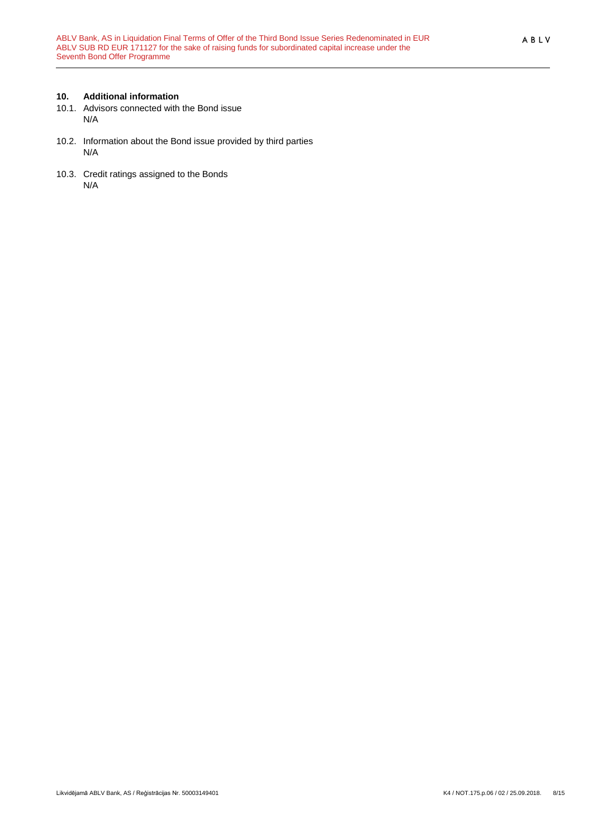## <span id="page-7-0"></span>**10. Additional information**

- 10.1. Advisors connected with the Bond issue N/A
- 10.2. Information about the Bond issue provided by third parties N/A
- 10.3. Credit ratings assigned to the Bonds N/A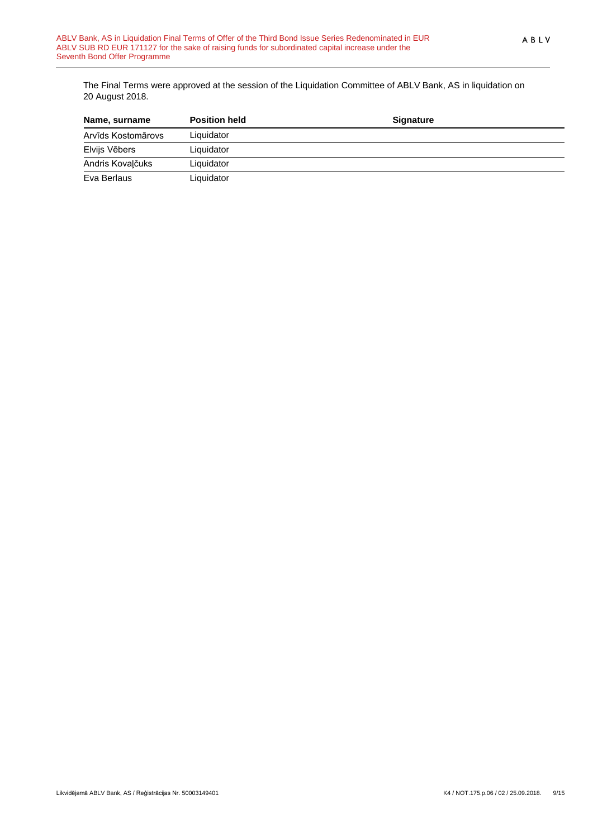The Final Terms were approved at the session of the Liquidation Committee of ABLV Bank, AS in liquidation on 20 August 2018.

| Name, surname      | <b>Position held</b> | <b>Signature</b> |  |
|--------------------|----------------------|------------------|--|
| Arvīds Kostomārovs | Liquidator           |                  |  |
| Elvijs Vēbers      | Liquidator           |                  |  |
| Andris Kovalčuks   | Liquidator           |                  |  |
| Eva Berlaus        | Liquidator           |                  |  |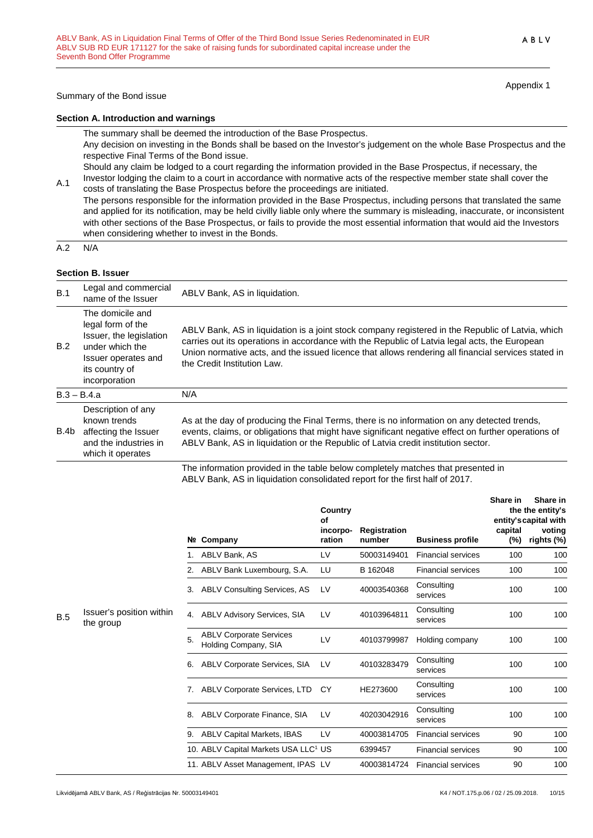#### Summary of the Bond issue

**Section A. Introduction and warnings**

The summary shall be deemed the introduction of the Base Prospectus. Any decision on investing in the Bonds shall be based on the Investor's judgement on the whole Base Prospectus and the respective Final Terms of the Bond issue. Should any claim be lodged to a court regarding the information provided in the Base Prospectus, if necessary, the

A.1 Investor lodging the claim to a court in accordance with normative acts of the respective member state shall cover the costs of translating the Base Prospectus before the proceedings are initiated.

The persons responsible for the information provided in the Base Prospectus, including persons that translated the same and applied for its notification, may be held civilly liable only where the summary is misleading, inaccurate, or inconsistent with other sections of the Base Prospectus, or fails to provide the most essential information that would aid the Investors when considering whether to invest in the Bonds.

A.2 N/A

#### **Section B. Issuer**

| B.1  | Legal and commercial<br>name of the Issuer                                                                                                    | ABLV Bank, AS in liquidation.                                                                                                                                                                                                                                                                                                            |
|------|-----------------------------------------------------------------------------------------------------------------------------------------------|------------------------------------------------------------------------------------------------------------------------------------------------------------------------------------------------------------------------------------------------------------------------------------------------------------------------------------------|
| B.2  | The domicile and<br>legal form of the<br>Issuer, the legislation<br>under which the<br>Issuer operates and<br>its country of<br>incorporation | ABLV Bank, AS in liquidation is a joint stock company registered in the Republic of Latvia, which<br>carries out its operations in accordance with the Republic of Latvia legal acts, the European<br>Union normative acts, and the issued licence that allows rendering all financial services stated in<br>the Credit Institution Law. |
|      | $B.3 - B.4.a$                                                                                                                                 | N/A                                                                                                                                                                                                                                                                                                                                      |
| B.4b | Description of any<br>known trends<br>affecting the Issuer<br>and the industries in<br>which it operates                                      | As at the day of producing the Final Terms, there is no information on any detected trends,<br>events, claims, or obligations that might have significant negative effect on further operations of<br>ABLV Bank, AS in liquidation or the Republic of Latvia credit institution sector.                                                  |
|      |                                                                                                                                               |                                                                                                                                                                                                                                                                                                                                          |

The information provided in the table below completely matches that presented in ABLV Bank, AS in liquidation consolidated report for the first half of 2017.

|            |                                       |    |                                                        | Country<br>Οf      |                        |                           | Share in       | Share in<br>the the entity's<br>entity's capital with |
|------------|---------------------------------------|----|--------------------------------------------------------|--------------------|------------------------|---------------------------|----------------|-------------------------------------------------------|
|            |                                       |    | Nº Company                                             | incorpo-<br>ration | Registration<br>number | <b>Business profile</b>   | capital<br>(%) | voting<br>rights (%)                                  |
|            |                                       |    | ABLV Bank, AS                                          | LV                 | 50003149401            | <b>Financial services</b> | 100            | 100                                                   |
|            |                                       | 2. | ABLV Bank Luxembourg, S.A.                             | LU                 | B 162048               | <b>Financial services</b> | 100            | 100                                                   |
|            |                                       | 3. | <b>ABLV Consulting Services, AS</b>                    | LV                 | 40003540368            | Consulting<br>services    | 100            | 100                                                   |
| <b>B.5</b> | Issuer's position within<br>the group | 4. | <b>ABLV Advisory Services, SIA</b>                     | LV                 | 40103964811            | Consulting<br>services    | 100            | 100                                                   |
|            |                                       | 5. | <b>ABLV Corporate Services</b><br>Holding Company, SIA | LV                 | 40103799987            | Holding company           | 100            | 100                                                   |
|            |                                       | 6. | <b>ABLV Corporate Services, SIA</b>                    | LV                 | 40103283479            | Consultina<br>services    | 100            | 100                                                   |
|            |                                       | 7. | ABLV Corporate Services, LTD                           | <b>CY</b>          | HE273600               | Consulting<br>services    | 100            | 100                                                   |
|            |                                       | 8. | ABLV Corporate Finance, SIA                            | LV                 | 40203042916            | Consulting<br>services    | 100            | 100                                                   |
|            |                                       | 9. | ABLV Capital Markets, IBAS                             | LV                 | 40003814705            | <b>Financial services</b> | 90             | 100                                                   |
|            |                                       |    | 10. ABLV Capital Markets USA LLC <sup>1</sup> US       |                    | 6399457                | <b>Financial services</b> | 90             | 100                                                   |
|            |                                       |    | 11. ABLV Asset Management, IPAS LV                     |                    | 40003814724            | <b>Financial services</b> | 90             | 100                                                   |

Appendix 1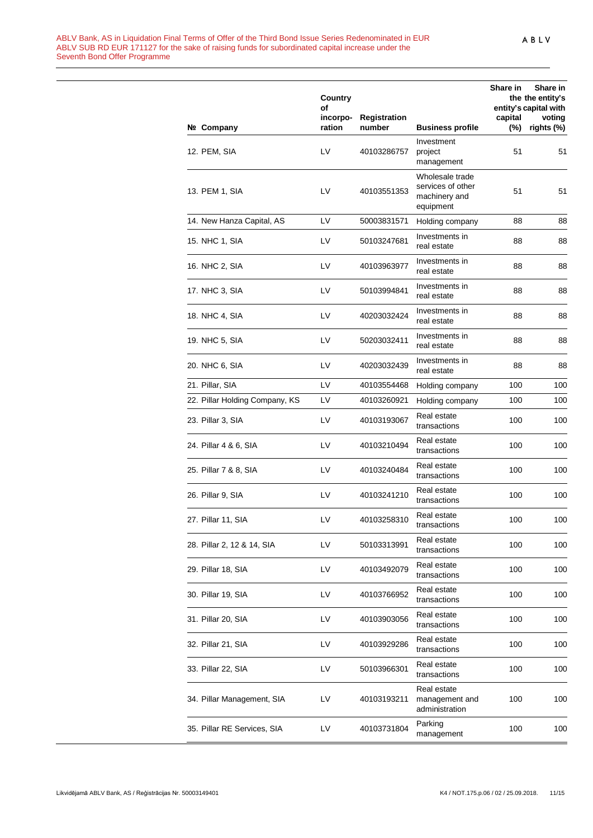|                                | Country                  |                               |                                                                    | <b>Share in</b> | Share in<br>the the entity's                  |
|--------------------------------|--------------------------|-------------------------------|--------------------------------------------------------------------|-----------------|-----------------------------------------------|
| Nº Company                     | of<br>incorpo-<br>ration | <b>Registration</b><br>number | <b>Business profile</b>                                            | capital<br>(%)  | entity's capital with<br>voting<br>rights (%) |
| 12. PEM, SIA                   | LV                       | 40103286757                   | Investment<br>project<br>management                                | 51              | 51                                            |
| 13. PEM 1, SIA                 | LV                       | 40103551353                   | Wholesale trade<br>services of other<br>machinery and<br>equipment | 51              | 51                                            |
| 14. New Hanza Capital, AS      | LV                       | 50003831571                   | Holding company                                                    | 88              | 88                                            |
| 15. NHC 1, SIA                 | LV                       | 50103247681                   | Investments in<br>real estate                                      | 88              | 88                                            |
| 16. NHC 2, SIA                 | LV                       | 40103963977                   | Investments in<br>real estate                                      | 88              | 88                                            |
| 17. NHC 3, SIA                 | LV                       | 50103994841                   | Investments in<br>real estate                                      | 88              | 88                                            |
| 18. NHC 4, SIA                 | LV                       | 40203032424                   | Investments in<br>real estate                                      | 88              | 88                                            |
| 19. NHC 5, SIA                 | LV                       | 50203032411                   | Investments in<br>real estate                                      | 88              | 88                                            |
| 20. NHC 6, SIA                 | LV                       | 40203032439                   | Investments in<br>real estate                                      | 88              | 88                                            |
| 21. Pillar, SIA                | LV                       | 40103554468                   | Holding company                                                    | 100             | 100                                           |
| 22. Pillar Holding Company, KS | LV                       | 40103260921                   | Holding company                                                    | 100             | 100                                           |
| 23. Pillar 3, SIA              | LV                       | 40103193067                   | Real estate<br>transactions                                        | 100             | 100                                           |
| 24. Pillar 4 & 6, SIA          | LV                       | 40103210494                   | Real estate<br>transactions                                        | 100             | 100                                           |
| 25. Pillar 7 & 8, SIA          | LV                       | 40103240484                   | Real estate<br>transactions                                        | 100             | 100                                           |
| 26. Pillar 9, SIA              | LV                       | 40103241210                   | Real estate<br>transactions                                        | 100             | 100                                           |
| 27. Pillar 11, SIA             | LV                       | 40103258310                   | Real estate<br>transactions                                        | 100             | 100                                           |
| 28. Pillar 2, 12 & 14, SIA     | LV                       | 50103313991                   | Real estate<br>transactions                                        | 100             | 100                                           |
| 29. Pillar 18, SIA             | LV                       | 40103492079                   | Real estate<br>transactions                                        | 100             | 100                                           |
| 30. Pillar 19, SIA             | LV                       | 40103766952                   | Real estate<br>transactions                                        | 100             | 100                                           |
| 31. Pillar 20, SIA             | LV                       | 40103903056                   | Real estate<br>transactions                                        | 100             | 100                                           |
| 32. Pillar 21, SIA             | LV                       | 40103929286                   | Real estate<br>transactions                                        | 100             | 100                                           |
| 33. Pillar 22, SIA             | LV                       | 50103966301                   | Real estate<br>transactions                                        | 100             | 100                                           |
| 34. Pillar Management, SIA     | LV                       | 40103193211                   | Real estate<br>management and<br>administration                    | 100             | 100                                           |
| 35. Pillar RE Services, SIA    | LV                       | 40103731804                   | Parking<br>management                                              | 100             | 100                                           |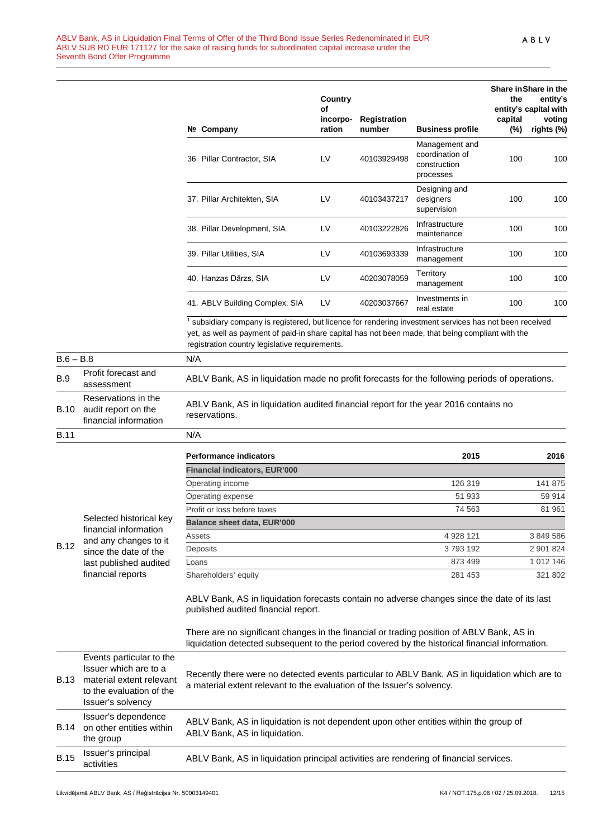| Nº. | Company                        | Country<br>Οf<br>incorpo-<br>ration | Registration<br>number | <b>Business profile</b>                                        | the<br>capital<br>$(\%)$ | Share in Share in the<br>entity's<br>entity's capital with<br>voting<br>rights (%) |
|-----|--------------------------------|-------------------------------------|------------------------|----------------------------------------------------------------|--------------------------|------------------------------------------------------------------------------------|
| 36  | Pillar Contractor, SIA         | LV                                  | 40103929498            | Management and<br>coordination of<br>construction<br>processes | 100                      | 100                                                                                |
|     | 37. Pillar Architekten, SIA    | I V                                 | 40103437217            | Designing and<br>designers<br>supervision                      | 100                      | 100                                                                                |
|     | 38. Pillar Development, SIA    | LV                                  | 40103222826            | Infrastructure<br>maintenance                                  | 100                      | 100                                                                                |
|     | 39. Pillar Utilities, SIA      | LV                                  | 40103693339            | Infrastructure<br>management                                   | 100                      | 100                                                                                |
|     | 40. Hanzas Dārzs, SIA          | LV                                  | 40203078059            | Territory<br>management                                        | 100                      | 100                                                                                |
|     | 41. ABLV Building Complex, SIA | LV                                  | 40203037667            | Investments in<br>real estate                                  | 100                      | 100                                                                                |

 $1$  subsidiary company is registered, but licence for rendering investment services has not been received yet, as well as payment of paid-in share capital has not been made, that being compliant with the registration country legislative requirements.

| $B.6 - B.8$ |                                                                     | N/A                                                                                                  |         |         |  |
|-------------|---------------------------------------------------------------------|------------------------------------------------------------------------------------------------------|---------|---------|--|
| <b>B.9</b>  | Profit forecast and<br>assessment                                   | ABLV Bank, AS in liquidation made no profit forecasts for the following periods of operations.       |         |         |  |
| <b>B.10</b> | Reservations in the<br>audit report on the<br>financial information | ABLV Bank, AS in liquidation audited financial report for the year 2016 contains no<br>reservations. |         |         |  |
| <b>B.11</b> |                                                                     | N/A                                                                                                  |         |         |  |
|             |                                                                     | <b>Performance indicators</b>                                                                        | 2015    | 2016    |  |
|             |                                                                     | <b>Financial indicators, EUR'000</b>                                                                 |         |         |  |
|             |                                                                     | Operating income                                                                                     | 126 319 | 141 875 |  |

**Balance sheet data, EUR'000**

| Selected historical key |  |
|-------------------------|--|
| financial information   |  |
| and any changes to it   |  |

B.12 and any changes to it since the date of the last published audited financial reports

> ABLV Bank, AS in liquidation forecasts contain no adverse changes since the date of its last published audited financial report.

Operating expense 51 933 59 914 Profit or loss before taxes 81 961

Assets 4 928 121 3 849 586 Deposits 3 793 192 2 901 824 Loans 1012 146 Shareholders' equity 281 453 321 802

There are no significant changes in the financial or trading position of ABLV Bank, AS in liquidation detected subsequent to the period covered by the historical financial information.

| <b>B.13</b> | Events particular to the<br>Issuer which are to a<br>material extent relevant<br>to the evaluation of the<br>Issuer's solvency | Recently there were no detected events particular to ABLV Bank, AS in liquidation which are to<br>a material extent relevant to the evaluation of the Issuer's solvency. |
|-------------|--------------------------------------------------------------------------------------------------------------------------------|--------------------------------------------------------------------------------------------------------------------------------------------------------------------------|
| <b>B.14</b> | Issuer's dependence<br>on other entities within<br>the group                                                                   | ABLV Bank, AS in liquidation is not dependent upon other entities within the group of<br>ABLV Bank, AS in liquidation.                                                   |
| <b>B.15</b> | Issuer's principal<br>activities                                                                                               | ABLV Bank, AS in liquidation principal activities are rendering of financial services.                                                                                   |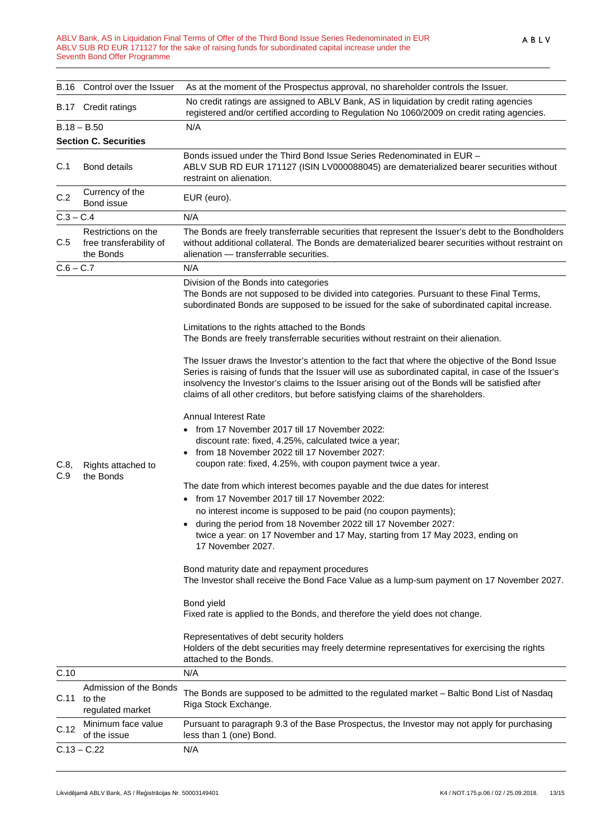#### ABLV Bank, AS in Liquidation Final Terms of Offer of the Third Bond Issue Series Redenominated in EUR ABLV SUB RD EUR 171127 for the sake of raising funds for subordinated capital increase under the Seventh Bond Offer Programme

|               | B.16 Control over the Issuer                                | As at the moment of the Prospectus approval, no shareholder controls the Issuer.                                                                                                                                                                                                                                                                                                                                                                                                                                                                                                                                                                                                                                                                                                                                                                                           |
|---------------|-------------------------------------------------------------|----------------------------------------------------------------------------------------------------------------------------------------------------------------------------------------------------------------------------------------------------------------------------------------------------------------------------------------------------------------------------------------------------------------------------------------------------------------------------------------------------------------------------------------------------------------------------------------------------------------------------------------------------------------------------------------------------------------------------------------------------------------------------------------------------------------------------------------------------------------------------|
|               | B.17 Credit ratings                                         | No credit ratings are assigned to ABLV Bank, AS in liquidation by credit rating agencies<br>registered and/or certified according to Regulation No 1060/2009 on credit rating agencies.                                                                                                                                                                                                                                                                                                                                                                                                                                                                                                                                                                                                                                                                                    |
| $B.18 - B.50$ |                                                             | N/A                                                                                                                                                                                                                                                                                                                                                                                                                                                                                                                                                                                                                                                                                                                                                                                                                                                                        |
|               | <b>Section C. Securities</b>                                |                                                                                                                                                                                                                                                                                                                                                                                                                                                                                                                                                                                                                                                                                                                                                                                                                                                                            |
| C.1           | <b>Bond details</b>                                         | Bonds issued under the Third Bond Issue Series Redenominated in EUR -<br>ABLV SUB RD EUR 171127 (ISIN LV000088045) are dematerialized bearer securities without<br>restraint on alienation.                                                                                                                                                                                                                                                                                                                                                                                                                                                                                                                                                                                                                                                                                |
| C.2           | Currency of the<br>Bond issue                               | EUR (euro).                                                                                                                                                                                                                                                                                                                                                                                                                                                                                                                                                                                                                                                                                                                                                                                                                                                                |
| $C.3 - C.4$   |                                                             | N/A                                                                                                                                                                                                                                                                                                                                                                                                                                                                                                                                                                                                                                                                                                                                                                                                                                                                        |
| C.5           | Restrictions on the<br>free transferability of<br>the Bonds | The Bonds are freely transferrable securities that represent the Issuer's debt to the Bondholders<br>without additional collateral. The Bonds are dematerialized bearer securities without restraint on<br>alienation - transferrable securities.                                                                                                                                                                                                                                                                                                                                                                                                                                                                                                                                                                                                                          |
| $C.6 - C.7$   |                                                             | N/A                                                                                                                                                                                                                                                                                                                                                                                                                                                                                                                                                                                                                                                                                                                                                                                                                                                                        |
| C.8,<br>C.9   | Rights attached to<br>the Bonds                             | Division of the Bonds into categories<br>The Bonds are not supposed to be divided into categories. Pursuant to these Final Terms,<br>subordinated Bonds are supposed to be issued for the sake of subordinated capital increase.<br>Limitations to the rights attached to the Bonds<br>The Bonds are freely transferrable securities without restraint on their alienation.                                                                                                                                                                                                                                                                                                                                                                                                                                                                                                |
|               |                                                             | The Issuer draws the Investor's attention to the fact that where the objective of the Bond Issue<br>Series is raising of funds that the Issuer will use as subordinated capital, in case of the Issuer's<br>insolvency the Investor's claims to the Issuer arising out of the Bonds will be satisfied after<br>claims of all other creditors, but before satisfying claims of the shareholders.                                                                                                                                                                                                                                                                                                                                                                                                                                                                            |
|               |                                                             | <b>Annual Interest Rate</b><br>• from 17 November 2017 till 17 November 2022:<br>discount rate: fixed, 4.25%, calculated twice a year;<br>from 18 November 2022 till 17 November 2027:<br>coupon rate: fixed, 4.25%, with coupon payment twice a year.<br>The date from which interest becomes payable and the due dates for interest<br>from 17 November 2017 till 17 November 2022:<br>no interest income is supposed to be paid (no coupon payments);<br>during the period from 18 November 2022 till 17 November 2027:<br>twice a year: on 17 November and 17 May, starting from 17 May 2023, ending on<br>17 November 2027.<br>Bond maturity date and repayment procedures<br>The Investor shall receive the Bond Face Value as a lump-sum payment on 17 November 2027.<br>Bond yield<br>Fixed rate is applied to the Bonds, and therefore the yield does not change. |
|               |                                                             | Representatives of debt security holders<br>Holders of the debt securities may freely determine representatives for exercising the rights<br>attached to the Bonds.                                                                                                                                                                                                                                                                                                                                                                                                                                                                                                                                                                                                                                                                                                        |
| C.10          |                                                             | N/A                                                                                                                                                                                                                                                                                                                                                                                                                                                                                                                                                                                                                                                                                                                                                                                                                                                                        |
| C.11          | Admission of the Bonds<br>to the<br>regulated market        | The Bonds are supposed to be admitted to the regulated market - Baltic Bond List of Nasdaq<br>Riga Stock Exchange.                                                                                                                                                                                                                                                                                                                                                                                                                                                                                                                                                                                                                                                                                                                                                         |
| C.12          | Minimum face value<br>of the issue                          | Pursuant to paragraph 9.3 of the Base Prospectus, the Investor may not apply for purchasing<br>less than 1 (one) Bond.                                                                                                                                                                                                                                                                                                                                                                                                                                                                                                                                                                                                                                                                                                                                                     |
| $C.13 - C.22$ |                                                             | N/A                                                                                                                                                                                                                                                                                                                                                                                                                                                                                                                                                                                                                                                                                                                                                                                                                                                                        |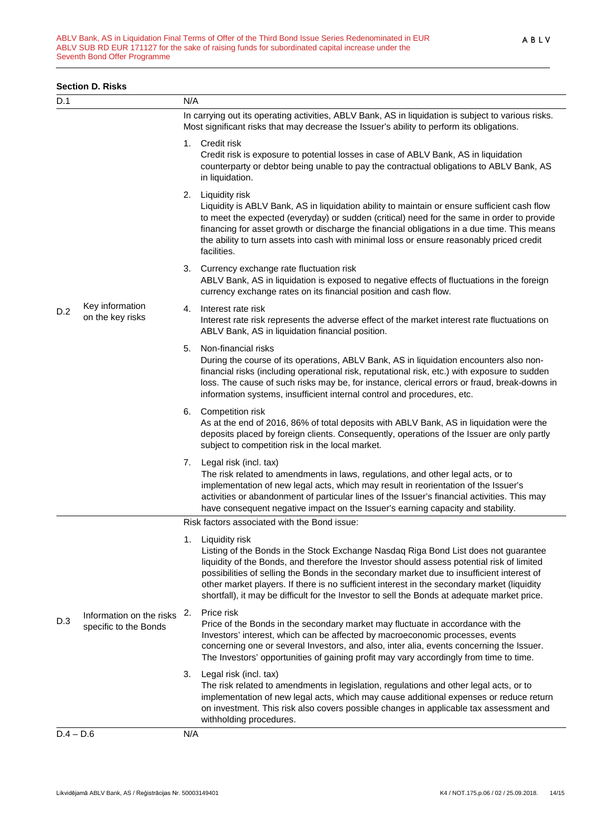#### **Section D. Risks**

| D.1         |                                                   | N/A                                                                                                                                                                                              |                                                                                                                                                                                                                                                                                                                                                                                                                                                                                                  |
|-------------|---------------------------------------------------|--------------------------------------------------------------------------------------------------------------------------------------------------------------------------------------------------|--------------------------------------------------------------------------------------------------------------------------------------------------------------------------------------------------------------------------------------------------------------------------------------------------------------------------------------------------------------------------------------------------------------------------------------------------------------------------------------------------|
|             |                                                   | In carrying out its operating activities, ABLV Bank, AS in liquidation is subject to various risks.<br>Most significant risks that may decrease the Issuer's ability to perform its obligations. |                                                                                                                                                                                                                                                                                                                                                                                                                                                                                                  |
|             |                                                   |                                                                                                                                                                                                  | 1. Credit risk<br>Credit risk is exposure to potential losses in case of ABLV Bank, AS in liquidation<br>counterparty or debtor being unable to pay the contractual obligations to ABLV Bank, AS<br>in liquidation.                                                                                                                                                                                                                                                                              |
|             |                                                   |                                                                                                                                                                                                  | 2. Liquidity risk<br>Liquidity is ABLV Bank, AS in liquidation ability to maintain or ensure sufficient cash flow<br>to meet the expected (everyday) or sudden (critical) need for the same in order to provide<br>financing for asset growth or discharge the financial obligations in a due time. This means<br>the ability to turn assets into cash with minimal loss or ensure reasonably priced credit<br>facilities.                                                                       |
|             |                                                   |                                                                                                                                                                                                  | 3. Currency exchange rate fluctuation risk<br>ABLV Bank, AS in liquidation is exposed to negative effects of fluctuations in the foreign<br>currency exchange rates on its financial position and cash flow.                                                                                                                                                                                                                                                                                     |
| D.2         | Key information<br>on the key risks               | 4.                                                                                                                                                                                               | Interest rate risk<br>Interest rate risk represents the adverse effect of the market interest rate fluctuations on<br>ABLV Bank, AS in liquidation financial position.                                                                                                                                                                                                                                                                                                                           |
|             |                                                   | 5.                                                                                                                                                                                               | Non-financial risks<br>During the course of its operations, ABLV Bank, AS in liquidation encounters also non-<br>financial risks (including operational risk, reputational risk, etc.) with exposure to sudden<br>loss. The cause of such risks may be, for instance, clerical errors or fraud, break-downs in<br>information systems, insufficient internal control and procedures, etc.                                                                                                        |
|             |                                                   |                                                                                                                                                                                                  | 6. Competition risk<br>As at the end of 2016, 86% of total deposits with ABLV Bank, AS in liquidation were the<br>deposits placed by foreign clients. Consequently, operations of the Issuer are only partly<br>subject to competition risk in the local market.                                                                                                                                                                                                                                 |
|             |                                                   |                                                                                                                                                                                                  | 7. Legal risk (incl. tax)<br>The risk related to amendments in laws, regulations, and other legal acts, or to<br>implementation of new legal acts, which may result in reorientation of the Issuer's<br>activities or abandonment of particular lines of the Issuer's financial activities. This may<br>have consequent negative impact on the Issuer's earning capacity and stability.                                                                                                          |
|             |                                                   |                                                                                                                                                                                                  | Risk factors associated with the Bond issue:                                                                                                                                                                                                                                                                                                                                                                                                                                                     |
| D.3         | Information on the risks<br>specific to the Bonds | 1.                                                                                                                                                                                               | Liquidity risk<br>Listing of the Bonds in the Stock Exchange Nasdaq Riga Bond List does not guarantee<br>liquidity of the Bonds, and therefore the Investor should assess potential risk of limited<br>possibilities of selling the Bonds in the secondary market due to insufficient interest of<br>other market players. If there is no sufficient interest in the secondary market (liquidity<br>shortfall), it may be difficult for the Investor to sell the Bonds at adequate market price. |
|             |                                                   | 2.                                                                                                                                                                                               | Price risk<br>Price of the Bonds in the secondary market may fluctuate in accordance with the<br>Investors' interest, which can be affected by macroeconomic processes, events<br>concerning one or several Investors, and also, inter alia, events concerning the Issuer.<br>The Investors' opportunities of gaining profit may vary accordingly from time to time.                                                                                                                             |
|             |                                                   | 3.                                                                                                                                                                                               | Legal risk (incl. tax)<br>The risk related to amendments in legislation, regulations and other legal acts, or to<br>implementation of new legal acts, which may cause additional expenses or reduce return<br>on investment. This risk also covers possible changes in applicable tax assessment and<br>withholding procedures.                                                                                                                                                                  |
| $D.4 - D.6$ |                                                   | N/A                                                                                                                                                                                              |                                                                                                                                                                                                                                                                                                                                                                                                                                                                                                  |